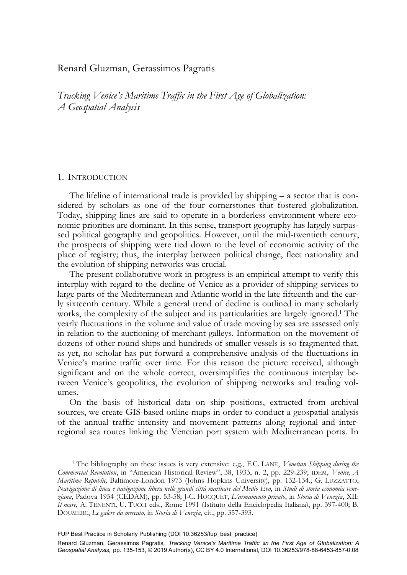# Renard Gluzman, Gerassimos Pagratis

*Tracking Venice's Maritime Traffic in the First Age of Globalization: A Geospatial Analysis* 

## 1. INTRODUCTION

-

The lifeline of international trade is provided by shipping – a sector that is considered by scholars as one of the four cornerstones that fostered globalization. Today, shipping lines are said to operate in a borderless environment where economic priorities are dominant. In this sense, transport geography has largely surpassed political geography and geopolitics. However, until the mid-twentieth century, the prospects of shipping were tied down to the level of economic activity of the place of registry; thus, the interplay between political change, fleet nationality and the evolution of shipping networks was crucial.

The present collaborative work in progress is an empirical attempt to verify this interplay with regard to the decline of Venice as a provider of shipping services to large parts of the Mediterranean and Atlantic world in the late fifteenth and the early sixteenth century. While a general trend of decline is outlined in many scholarly works, the complexity of the subject and its particularities are largely ignored.<sup>1</sup> The yearly fluctuations in the volume and value of trade moving by sea are assessed only in relation to the auctioning of merchant galleys. Information on the movement of dozens of other round ships and hundreds of smaller vessels is so fragmented that, as yet, no scholar has put forward a comprehensive analysis of the fluctuations in Venice's marine traffic over time. For this reason the picture received, although significant and on the whole correct, oversimplifies the continuous interplay between Venice's geopolitics, the evolution of shipping networks and trading volumes.

On the basis of historical data on ship positions, extracted from archival sources, we create GIS-based online maps in order to conduct a geospatial analysis of the annual traffic intensity and movement patterns along regional and interregional sea routes linking the Venetian port system with Mediterranean ports. In

<sup>1</sup> The bibliography on these issues is very extensive: e.g., F.C. LANE, *Venetian Shipping during the Commercial Revolution*, in "American Historical Review", 38, 1933, n. 2, pp. 229-239; IDEM, *Venice, A Maritime Republic,* Baltimore-London 1973 (Johns Hopkins University), pp. 132-134.; G. LUZZATTO, *Navigazione di linea e navigazione libera nelle grandi città marinare del Medio Evo*, in *Studi di storia economia veneziana*, Padova 1954 (CEDAM), pp. 53-58; J-C. HOCQUET, *L'armamento privato*, in *Storia di Venezia*, XII: *Il mare*, A. TENENTI, U. TUCCI eds., Rome 1991 (Istituto della Enciclopedia Italiana), pp. 397-400; B. DOUMERC, *Le galere da mercato*, in *Storia di Venezia*, cit., pp. 357-393.

FUP Best Practice in Scholarly Publishing (DOI [10.36253/fup\\_best\\_practice\)](https://doi.org/10.36253/fup_best_practice)

Renard Gluzman, Gerassimos Pagratis*,  Tracking Venice's Maritime Traffic \in the First Age of Globalization: A Geospatial Analysis,*pp. 135-153, © 2019 Author(s), [CC BY 4.0 International,](http://creativecommons.org/licenses/by/4.0/legalcode) DOI [10.36253/978-88-6453-857-0.08](https://doi.org/10.36253/978-88-6453-857-0.08)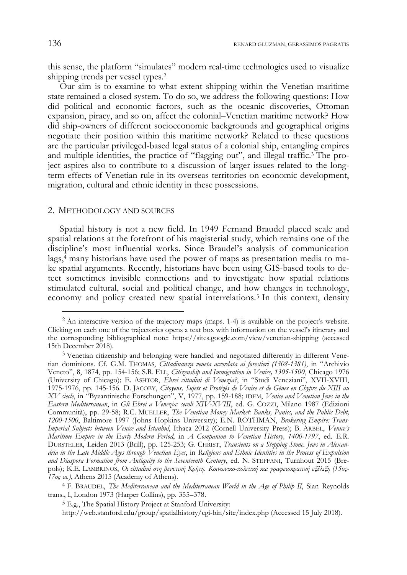this sense, the platform "simulates" modern real-time technologies used to visualize shipping trends per vessel types.2

Our aim is to examine to what extent shipping within the Venetian maritime state remained a closed system. To do so, we address the following questions: How did political and economic factors, such as the oceanic discoveries, Ottoman expansion, piracy, and so on, affect the colonial–Venetian maritime network? How did ship-owners of different socioeconomic backgrounds and geographical origins negotiate their position within this maritime network? Related to these questions are the particular privileged-based legal status of a colonial ship, entangling empires and multiple identities, the practice of "flagging out", and illegal traffic.3 The project aspires also to contribute to a discussion of larger issues related to the longterm effects of Venetian rule in its overseas territories on economic development, migration, cultural and ethnic identity in these possessions.

### 2. METHODOLOGY AND SOURCES

Spatial history is not a new field. In 1949 Fernand Braudel placed scale and spatial relations at the forefront of his magisterial study, which remains one of the discipline's most influential works. Since Braudel's analysis of communication lags,<sup>4</sup> many historians have used the power of maps as presentation media to make spatial arguments. Recently, historians have been using GIS-based tools to detect sometimes invisible connections and to investigate how spatial relations stimulated cultural, social and political change, and how changes in technology, economy and policy created new spatial interrelations.5 In this context, density

1

<sup>2</sup> An interactive version of the trajectory maps (maps. 1-4) is available on the project's website. Clicking on each one of the trajectories opens a text box with information on the vessel's itinerary and the corresponding bibliographical note: https://sites.google.com/view/venetian-shipping (accessed 15th December 2018).

<sup>&</sup>lt;sup>3</sup> Venetian citizenship and belonging were handled and negotiated differently in different Venetian dominions. Cf. G.M. THOMAS, *Cittadinanza veneta accordata ai forestieri (1308-1381)*, in "Archivio Veneto", 8, 1874, pp. 154-156; S.R. ELL, *Citizenship and Immigration in Venice, 1305-1500*, Chicago 1976 (University of Chicago); E. ASHTOR, *Ebrei cittadini di Venezia?*, in "Studi Veneziani", XVII-XVIII, 1975-1976, pp. 145-156. D. JACOBY, *Citoyens, Sujets et Protégés de Venise et de Génes en Chypre du XIII au XV siecle*, in "Byzantinische Forschungen", V, 1977, pp. 159-188; IDEM, *Venice and Venetian Jews in the Eastern Mediterranean*, in *Gli Ebrei a Venezia: secoli XIV-XVIII*, ed. G. COZZI, Milano 1987 (Edizioni Communità), pp. 29-58; R.C. MUELLER, *The Venetian Money Market: Banks, Panics, and the Public Debt, 1200-1500*, Baltimore 1997 (Johns Hopkins University); E.N. ROTHMAN, *Brokering Empire: Trans-Imperial Subjects between Venice and Istanbul*, Ithaca 2012 (Cornell University Press); B. ARBEL, *Venice's Maritime Empire in the Early Modern Period*, in *A Companion to Venetian History, 1400-1797*, ed. E.R. DURSTELER, Leiden 2013 (Brill), pp. 125-253; G. CHRIST, *Transients on a Stepping Stone. Jews in Alexandria in the Late Middle Ages through Venetian Eyes*, in *Religious and Ethnic Identities in the Process of Expulsion and Diaspora Formation from Antiquity to the Seventeenth Century*, ed. N. STEFFANI, Turnhout 2015 (Brepols); K.E. LAMBRINOS, *Οι cittadini στη βενετική Κρήτη*. *Κοινωνικο-πολιτική και γραφειοκρατική εξέλιξη (15ος-17ος αι.)*, Athens 2015 (Academy of Athens).

<sup>4</sup> F. BRAUDEL, *The Mediterranean and the Mediterranean World in the Age of Philip II*, Sian Reynolds trans., I, London 1973 (Harper Collins), pp. 355–378.

<sup>5</sup> E.g., The Spatial History Project at Stanford University:

http://web.stanford.edu/group/spatialhistory/cgi-bin/site/index.php (Accessed 15 July 2018).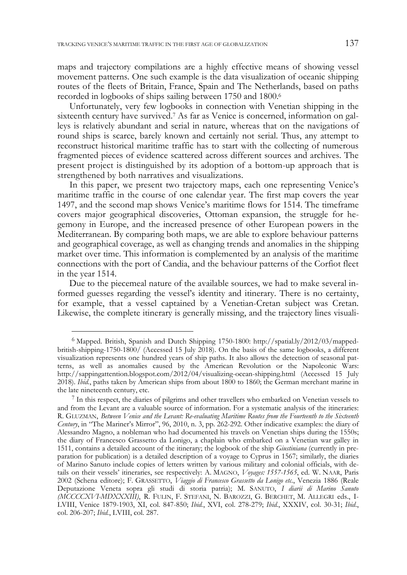maps and trajectory compilations are a highly effective means of showing vessel movement patterns. One such example is the data visualization of oceanic shipping routes of the fleets of Britain, France, Spain and The Netherlands, based on paths recorded in logbooks of ships sailing between 1750 and 1800.6

Unfortunately, very few logbooks in connection with Venetian shipping in the sixteenth century have survived.7 As far as Venice is concerned, information on galleys is relatively abundant and serial in nature, whereas that on the navigations of round ships is scarce, barely known and certainly not serial. Thus, any attempt to reconstruct historical maritime traffic has to start with the collecting of numerous fragmented pieces of evidence scattered across different sources and archives. The present project is distinguished by its adoption of a bottom-up approach that is strengthened by both narratives and visualizations.

In this paper, we present two trajectory maps, each one representing Venice's maritime traffic in the course of one calendar year. The first map covers the year 1497, and the second map shows Venice's maritime flows for 1514. The timeframe covers major geographical discoveries, Ottoman expansion, the struggle for hegemony in Europe, and the increased presence of other European powers in the Mediterranean. By comparing both maps, we are able to explore behaviour patterns and geographical coverage, as well as changing trends and anomalies in the shipping market over time. This information is complemented by an analysis of the maritime connections with the port of Candia, and the behaviour patterns of the Corfiot fleet in the year 1514.

Due to the piecemeal nature of the available sources, we had to make several informed guesses regarding the vessel's identity and itinerary. There is no certainty, for example, that a vessel captained by a Venetian-Cretan subject was Cretan. Likewise, the complete itinerary is generally missing, and the trajectory lines visuali-

-

<sup>6</sup> Mapped. British, Spanish and Dutch Shipping 1750-1800: http://spatial.ly/2012/03/mappedbritish-shipping-1750-1800/ (Accessed 15 July 2018). On the basis of the same logbooks, a different visualization represents one hundred years of ship paths. It also allows the detection of seasonal patterns, as well as anomalies caused by the American Revolution or the Napoleonic Wars: http://sappingattention.blogspot.com/2012/04/visualizing-ocean-shipping.html (Accessed 15 July 2018). *Ibid.*, paths taken by American ships from about 1800 to 1860; the German merchant marine in the late nineteenth century, etc.<br>
<sup>7</sup> In this respect, the diaries of pilgrims and other travellers who embarked on Venetian vessels to

and from the Levant are a valuable source of information. For a systematic analysis of the itineraries: R. GLUZMAN, *Between Venice and the Levant: Re-evaluating Maritime Routes from the Fourteenth to the Sixteenth Century*, in "The Mariner's Mirror", 96, 2010, n. 3, pp. 262-292. Other indicative examples: the diary of Alessandro Magno, a nobleman who had documented his travels on Venetian ships during the 1550s; the diary of Francesco Grassetto da Lonigo, a chaplain who embarked on a Venetian war galley in 1511, contains a detailed account of the itinerary; the logbook of the ship *Giustiniana* (currently in preparation for publication) is a detailed description of a voyage to Cyprus in 1567; similarly, the diaries of Marino Sanuto include copies of letters written by various military and colonial officials, with details on their vessels' itineraries, see respectively: A. MAGNO, *Voyages: 1557-1565*, ed. W. NAAR, Paris 2002 (Schena editore); F. GRASSETTO, *Viaggio di Francesco Grassetto da Lonigo etc.*, Venezia 1886 (Reale Deputazione Veneta sopra gli studi di storia patria); M. SANUTO, *I diarii di Marino Sanuto (MCCCCXVI-MDXXXIII)*, R. FULIN, F. STEFANI, N. BAROZZI, G. BERCHET, M. ALLEGRI eds., I-LVIII, Venice 1879-1903, XI, col. 847-850; *Ibid.*, XVI, col. 278-279; *Ibid.*, XXXIV, col. 30-31; *Ibid*., col. 206-207; *Ibid.*, LVIII, col. 287.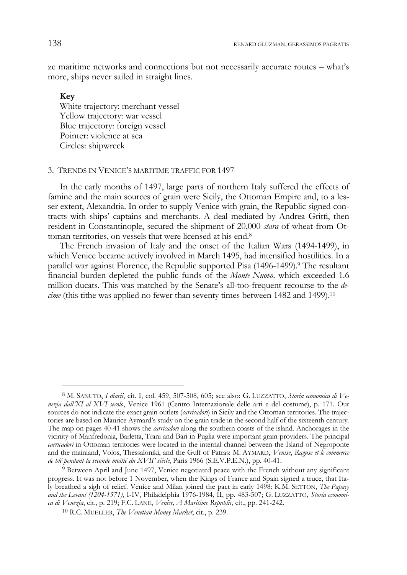ze maritime networks and connections but not necessarily accurate routes – what's more, ships never sailed in straight lines.

## **Key**

 $\ddot{\phantom{a}}$ 

White trajectory: merchant vessel Yellow trajectory: war vessel Blue trajectory: foreign vessel Pointer: violence at sea Circles: shipwreck

#### 3. TRENDS IN VENICE'S MARITIME TRAFFIC FOR 1497

In the early months of 1497, large parts of northern Italy suffered the effects of famine and the main sources of grain were Sicily, the Ottoman Empire and, to a lesser extent, Alexandria. In order to supply Venice with grain, the Republic signed contracts with ships' captains and merchants. A deal mediated by Andrea Gritti, then resident in Constantinople, secured the shipment of 20,000 *stara* of wheat from Ottoman territories, on vessels that were licensed at his end.8

The French invasion of Italy and the onset of the Italian Wars (1494-1499), in which Venice became actively involved in March 1495, had intensified hostilities. In a parallel war against Florence, the Republic supported Pisa (1496-1499).<sup>9</sup> The resultant financial burden depleted the public funds of the *Monte Nuovo,* which exceeded 1.6 million ducats. This was matched by the Senate's all-too-frequent recourse to the *decime* (this tithe was applied no fewer than seventy times between 1482 and 1499).10

<sup>8</sup> M. SANUTO, *I diarii*, cit. I, col. 459, 507-508, 605; see also: G. LUZZATTO, *Storia economica di Venezia dall'XI al XVI secolo*, Venice 1961 (Centro Internazionale delle arti e del costume), p. 171. Our sources do not indicate the exact grain outlets (*carricadori*) in Sicily and the Ottoman territories. The trajectories are based on Maurice Aymard's study on the grain trade in the second half of the sixteenth century. The map on pages 40-41 shows the *carricadori* along the southern coasts of the island. Anchorages in the vicinity of Manfredonia, Barletta, Trani and Bari in Puglia were important grain providers. The principal *carricadori* in Ottoman territories were located in the internal channel between the Island of Negroponte and the mainland, Volos, Thessaloniki, and the Gulf of Patras: M. AYMARD, *Venise*, *Raguse et le commerce de blé pendant la seconde moitié du XVII' siècle*, Paris 1966 (S.E.V.P.E.N.), pp. 40-41.

<sup>9</sup> Between April and June 1497, Venice negotiated peace with the French without any significant progress. It was not before 1 November, when the Kings of France and Spain signed a truce, that Italy breathed a sigh of relief. Venice and Milan joined the pact in early 1498: K.M. SETTON, *The Papacy and the Levant (1204-1571)*, I-IV, Philadelphia 1976-1984, II, pp. 483-507; G. LUZZATTO, *Storia economica di Venezia*, cit., p. 219; F.C. LANE, *Venice, A Maritime Republic*, cit., pp. 241-242.

<sup>10</sup> R.C. MUELLER, *The Venetian Money Market*, cit., p. 239.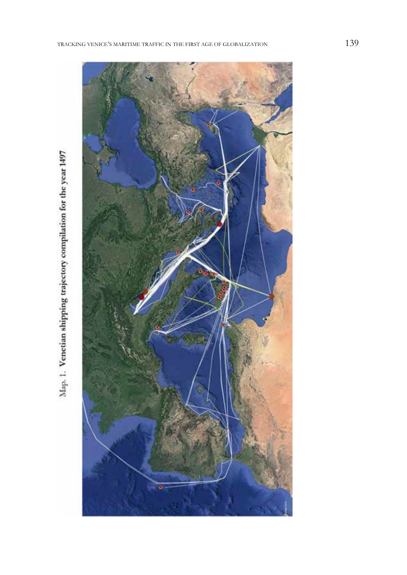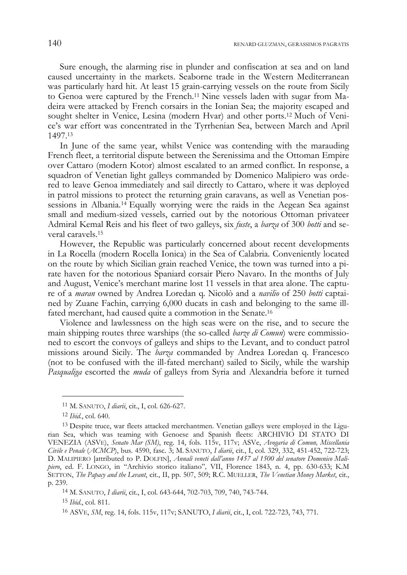Sure enough, the alarming rise in plunder and confiscation at sea and on land caused uncertainty in the markets. Seaborne trade in the Western Mediterranean was particularly hard hit. At least 15 grain-carrying vessels on the route from Sicily to Genoa were captured by the French.11 Nine vessels laden with sugar from Madeira were attacked by French corsairs in the Ionian Sea; the majority escaped and sought shelter in Venice, Lesina (modern Hvar) and other ports.12 Much of Venice's war effort was concentrated in the Tyrrhenian Sea, between March and April 1497.13

In June of the same year, whilst Venice was contending with the marauding French fleet, a territorial dispute between the Serenissima and the Ottoman Empire over Cattaro (modern Kotor) almost escalated to an armed conflict. In response, a squadron of Venetian light galleys commanded by Domenico Malipiero was ordered to leave Genoa immediately and sail directly to Cattaro, where it was deployed in patrol missions to protect the returning grain caravans, as well as Venetian possessions in Albania.14 Equally worrying were the raids in the Aegean Sea against small and medium-sized vessels, carried out by the notorious Ottoman privateer Admiral Kemal Reis and his fleet of two galleys, six *fuste*, a *barza* of 300 *botti* and several caravels.15

However, the Republic was particularly concerned about recent developments in La Rocella (modern Rocella Ionica) in the Sea of Calabria. Conveniently located on the route by which Sicilian grain reached Venice, the town was turned into a pirate haven for the notorious Spaniard corsair Piero Navaro. In the months of July and August, Venice's merchant marine lost 11 vessels in that area alone. The capture of a *maran* owned by Andrea Loredan q. Nicolò and a *navilio* of 250 *botti* captained by Zuane Fachin, carrying 6,000 ducats in cash and belonging to the same illfated merchant, had caused quite a commotion in the Senate.16

Violence and lawlessness on the high seas were on the rise, and to secure the main shipping routes three warships (the so-called *barze di Comun*) were commissioned to escort the convoys of galleys and ships to the Levant, and to conduct patrol missions around Sicily. The *barza* commanded by Andrea Loredan q. Francesco (not to be confused with the ill-fated merchant) sailed to Sicily, while the warship *Pasqualiga* escorted the *muda* of galleys from Syria and Alexandria before it turned

 $\ddot{\phantom{a}}$ 

<sup>15</sup> *Ibid*., col. 811.

<sup>11</sup> M. SANUTO, *I diarii*, cit., I, col. 626-627.

<sup>12</sup> *Ibid.*, col. 640.

<sup>13</sup> Despite truce, war fleets attacked merchantmen. Venetian galleys were employed in the Ligurian Sea, which was teaming with Genoese and Spanish fleets: ARCHIVIO DI STATO DI VENEZIA (ASVE), *Senato Mar (SM)*, reg. 14, fols. 115v, 117v; ASVe, *Avogaria di Comun, Miscellania Civile e Penale* (*ACMCP*), bus. 4590, fasc. 3; M. SANUTO, *I diarii*, cit., I, col. 329, 332, 451-452, 722-723; D. MALIPIERO [attributed to P. DOLFIN], *Annali veneti dall'anno 1457 al 1500 del senatore Domenico Malipiero*, ed. F. LONGO, in "Archivio storico italiano"*,* VII, Florence 1843, n. 4, pp. 630-633; K.M SETTON, *The Papacy and the Levant*, cit., II, pp. 507, 509; R.C. MUELLER, *The Venetian Money Market*, cit., p. 239.

<sup>14</sup> M. SANUTO, *I diarii*, cit., I, col. 643-644, 702-703, 709, 740, 743-744.

<sup>16</sup> ASVE, *SM*, reg. 14, fols. 115v, 117v; SANUTO, *I diarii*, cit., I, col. 722-723, 743, 771.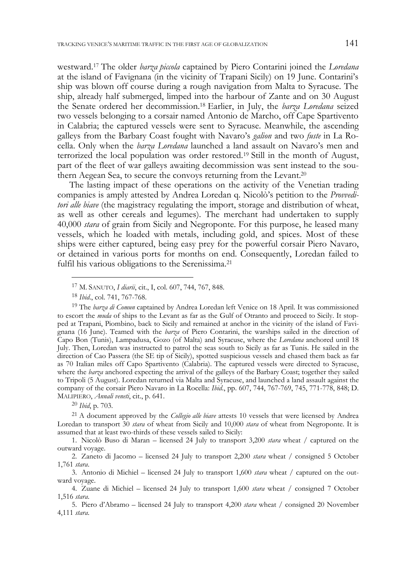westward.17 The older *barza piccola* captained by Piero Contarini joined the *Loredana* at the island of Favignana (in the vicinity of Trapani Sicily) on 19 June. Contarini's ship was blown off course during a rough navigation from Malta to Syracuse. The ship, already half submerged, limped into the harbour of Zante and on 30 August the Senate ordered her decommission.18 Earlier, in July, the *barza Loredana* seized two vessels belonging to a corsair named Antonio de Marcho, off Cape Spartivento in Calabria; the captured vessels were sent to Syracuse. Meanwhile, the ascending galleys from the Barbary Coast fought with Navaro's *galion* and two *fuste* in La Rocella. Only when the *barza Loredana* launched a land assault on Navaro's men and terrorized the local population was order restored.19 Still in the month of August, part of the fleet of war galleys awaiting decommission was sent instead to the southern Aegean Sea, to secure the convoys returning from the Levant.20

The lasting impact of these operations on the activity of the Venetian trading companies is amply attested by Andrea Loredan q. Nicolò's petition to the *Provveditori alle biave* (the magistracy regulating the import, storage and distribution of wheat, as well as other cereals and legumes). The merchant had undertaken to supply 40,000 *stara* of grain from Sicily and Negroponte. For this purpose, he leased many vessels, which he loaded with metals, including gold, and spices. Most of these ships were either captured, being easy prey for the powerful corsair Piero Navaro, or detained in various ports for months on end. Consequently, Loredan failed to fulfil his various obligations to the Serenissima.21

19 The *barza di Comun* captained by Andrea Loredan left Venice on 18 April. It was commissioned to escort the *muda* of ships to the Levant as far as the Gulf of Otranto and proceed to Sicily. It stopped at Trapani, Piombino, back to Sicily and remained at anchor in the vicinity of the island of Favignana (16 June). Teamed with the *barza* of Piero Contarini, the warships sailed in the direction of Capo Bon (Tunis), Lampadusa, Gozo (of Malta) and Syracuse, where the *Loredana* anchored until 18 July. Then, Loredan was instructed to patrol the seas south to Sicily as far as Tunis. He sailed in the direction of Cao Passera (the SE tip of Sicily), spotted suspicious vessels and chased them back as far as 70 Italian miles off Capo Spartivento (Calabria). The captured vessels were directed to Syracuse, where the *barza* anchored expecting the arrival of the galleys of the Barbary Coast; together they sailed to Tripoli (5 August). Loredan returned via Malta and Syracuse, and launched a land assault against the company of the corsair Piero Navaro in La Rocella: *Ibid*., pp. 607, 744, 767-769, 745, 771-778, 848; D. MALIPIERO, *Annali veneti*, cit., p. 641.

<sup>20</sup> *Ibid*, p. 703.

21 A document approved by the *Collegio alle biave* attests 10 vessels that were licensed by Andrea Loredan to transport 30 *stara* of wheat from Sicily and 10,000 *stara* of wheat from Negroponte. It is assumed that at least two-thirds of these vessels sailed to Sicily:

1. Nicolò Buso di Maran – licensed 24 July to transport 3,200 *stara* wheat / captured on the outward voyage.

2. Zaneto di Jacomo – licensed 24 July to transport 2,200 *stara* wheat / consigned 5 October 1,761 *stara*.

3. Antonio di Michiel – licensed 24 July to transport 1,600 *stara* wheat / captured on the outward voyage.

4. Zuane di Michiel – licensed 24 July to transport 1,600 *stara* wheat / consigned 7 October 1,516 *stara*.

5. Piero d'Abramo – licensed 24 July to transport 4,200 *stara* wheat / consigned 20 November 4,111 *stara*.

<sup>17</sup> M. SANUTO, *I diarii*, cit., I, col. 607, 744, 767, 848.

<sup>18</sup> *Ibid*., col. 741, 767-768.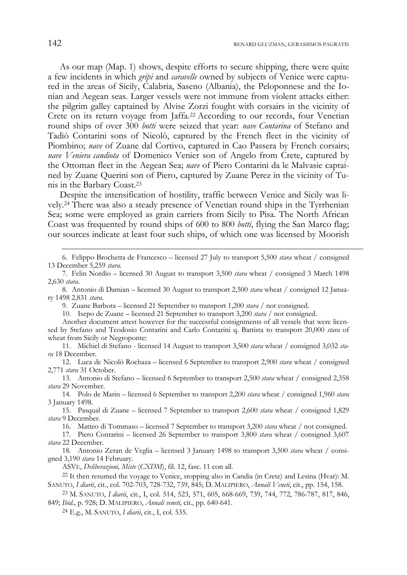As our map (Map. 1) shows, despite efforts to secure shipping, there were quite a few incidents in which *gripi* and *caravelle* owned by subjects of Venice were captured in the areas of Sicily, Calabria, Saseno (Albania), the Peloponnese and the Ionian and Aegean seas. Larger vessels were not immune from violent attacks either: the pilgrim galley captained by Alvise Zorzi fought with corsairs in the vicinity of Crete on its return voyage from Jaffa.22 According to our records, four Venetian round ships of over 300 *botti* were seized that year: *nave Contarina* of Stefano and Tadiò Contarini sons of Nicolò, captured by the French fleet in the vicinity of Piombino; *nave* of Zuane dal Cortivo, captured in Cao Passera by French corsairs; *nave Veniera candiota* of Domenico Venier son of Angelo from Crete, captured by the Ottoman fleet in the Aegean Sea; *nave* of Piero Contarini da le Malvasie captained by Zuane Querini son of Piero, captured by Zuane Perez in the vicinity of Tunis in the Barbary Coast.23

Despite the intensification of hostility, traffic between Venice and Sicily was lively.24 There was also a steady presence of Venetian round ships in the Tyrrhenian Sea; some were employed as grain carriers from Sicily to Pisa. The North African Coast was frequented by round ships of 600 to 800 *botti*, flying the San Marco flag; our sources indicate at least four such ships, of which one was licensed by Moorish

- 6. Felippo Brochetta de Francesco licensed 27 July to transport 5,500 *stara* wheat / consigned 13 December 5,259 *stara*.
- 7. Felin Nordio licensed 30 August to transport 3,500 *stara* wheat / consigned 3 March 1498 2,630 *stara*.
- 8. Antonio di Damian licensed 30 August to transport 2,500 *stara* wheat / consigned 12 January 1498 2,831 *stara*.
	- 9. Zuane Barbota licensed 21 September to transport 1,200 *stara* / not consigned.

10. Isepo de Zuane – licensed 21 September to transport 3,200 *stara* / not consigned.

- Another document attest however for the successful consignments of all vessels that were licensed by Stefano and Teodosio Contarini and Carlo Contarini q. Battista to transport 20,000 *stara* of wheat from Sicily or Negroponte:
- 11. Michiel di Stefano licensed 14 August to transport 3,500 *stara* wheat / consigned 3,032 *stara* 18 December.
- 12. Luca de Nicolò Rochaza licensed 6 September to transport 2,900 *stara* wheat / consigned 2,771 *stara* 31 October.
- 13. Antonio di Stefano licensed 6 September to transport 2,500 *stara* wheat / consigned 2,358 *stara* 29 November.

14. Polo de Marin – licensed 6 September to transport 2,200 *stara* wheat / consigned 1,960 *stara* 3 January 1498.

15. Pasqual di Zuane – licensed 7 September to transport 2,600 *stara* wheat / consigned 1,829 *stara* 9 December.

16. Matteo di Tommaso – licensed 7 September to transport 3,200 *stara* wheat / not consigned.

17. Piero Contarini – licensed 26 September to transport 3,800 *stara* wheat / consigned 3,607 *stara* 22 December.

18. Antonio Zeran de Veglia – licensed 3 January 1498 to transport 3,500 *stara* wheat / consigned 3,190 *stara* 14 February.<br>ASVE, *Deliberazioni, Miste* (CXDM), fil. 12, fasc. 11 con all.

<sup>22</sup> It then resumed the voyage to Venice, stopping also in Candia (in Crete) and Lesina (Hvar): M. SANUTO, *I diarii*, cit., col. 702-703, 728-732, 739, 845; D. MALIPIERO, *Annali Veneti*, cit., pp. 154, 158.

23 M. SANUTO, *I diarii*, cit., I, col. 514, 523, 571, 605, 668-669, 739, 744, 772, 786-787, 817, 846, 849; *Ibid.*, p. 928; D. MALIPIERO, *Annali veneti*, cit., pp. 640-641.

24 E.g., M. SANUTO, *I diarii*, cit., I, col. 535.

1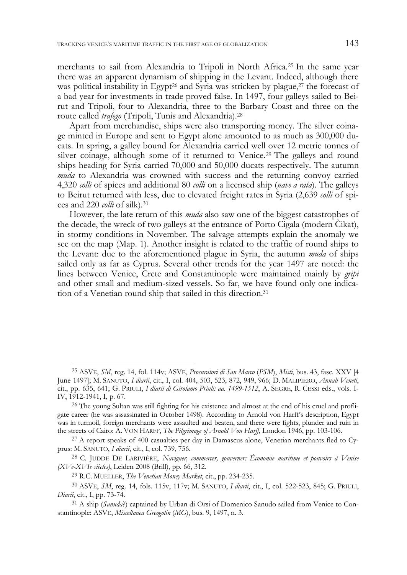merchants to sail from Alexandria to Tripoli in North Africa.25 In the same year there was an apparent dynamism of shipping in the Levant. Indeed, although there was political instability in Egypt<sup>26</sup> and Syria was stricken by plague,<sup>27</sup> the forecast of a bad year for investments in trade proved false. In 1497, four galleys sailed to Beirut and Tripoli, four to Alexandria, three to the Barbary Coast and three on the route called *trafego* (Tripoli, Tunis and Alexandria).28

Apart from merchandise, ships were also transporting money. The silver coinage minted in Europe and sent to Egypt alone amounted to as much as 300,000 ducats. In spring, a galley bound for Alexandria carried well over 12 metric tonnes of silver coinage, although some of it returned to Venice.29 The galleys and round ships heading for Syria carried 70,000 and 50,000 ducats respectively. The autumn *muda* to Alexandria was crowned with success and the returning convoy carried 4,320 *colli* of spices and additional 80 *colli* on a licensed ship (*nave a rata*). The galleys to Beirut returned with less, due to elevated freight rates in Syria (2,639 *colli* of spices and 220 *colli* of silk).30

However, the late return of this *muda* also saw one of the biggest catastrophes of the decade, the wreck of two galleys at the entrance of Porto Cigala (modern Čikat), in stormy conditions in November. The salvage attempts explain the anomaly we see on the map (Map. 1). Another insight is related to the traffic of round ships to the Levant: due to the aforementioned plague in Syria, the autumn *muda* of ships sailed only as far as Cyprus. Several other trends for the year 1497 are noted: the lines between Venice, Crete and Constantinople were maintained mainly by *gripi* and other small and medium-sized vessels. So far, we have found only one indication of a Venetian round ship that sailed in this direction.31

1

<sup>25</sup> ASVE, *SM*, reg. 14, fol. 114v; ASVE, *Procuratori di San Marco* (*PSM*), *Misti*, bus. 43, fasc. XXV [4 June 1497]; M. SANUTO, *I diarii*, cit., I, col. 404, 503, 523, 872, 949, 966; D. MALIPIERO, *Annali Veneti*, cit., pp. 635, 641; G. PRIULI, *I diarii di Girolamo Priuli: aa. 1499-1512*, A. SEGRE, R. CESSI eds., vols. I-IV, 1912-1941, I, p. 67.

<sup>&</sup>lt;sup>26</sup> The young Sultan was still fighting for his existence and almost at the end of his cruel and profligate career (he was assassinated in October 1498). According to Arnold von Harff's description, Egypt was in turmoil, foreign merchants were assaulted and beaten, and there were fights, plunder and ruin in the streets of Cairo: A. VON HARFF, *The Pilgrimage of Arnold Von Harff*, London 1946, pp. 103-106.

 $^{27}$  A report speaks of 400 casualties per day in Damascus alone, Venetian merchants fled to Cyprus: M. SANUTO, *I diarii*, cit., I, col. 739, 756.

<sup>28</sup> C. JUDDE DE LARIVIÈRE, *Naviguer, commercer, gouverner: Économie maritime et pouvoirs à Venise (XVe-XVIe siècles)*, Leiden 2008 (Brill), pp. 66, 312.

<sup>29</sup> R.C. MUELLER, *The Venetian Money Market*, cit., pp. 234-235.

<sup>30</sup> ASVE, *SM*, reg. 14, fols. 115v, 117v; M. SANUTO, *I diarii*, cit., I, col. 522-523, 845; G. PRIULI, *Diarii*, cit., I, pp. 73-74.

<sup>31</sup> A ship (*Sanuda*?) captained by Urban di Orsi of Domenico Sanudo sailed from Venice to Constantinople: ASVE, *Miscellanea Greogolin* (*MG*), bus. 9, 1497, n. 3.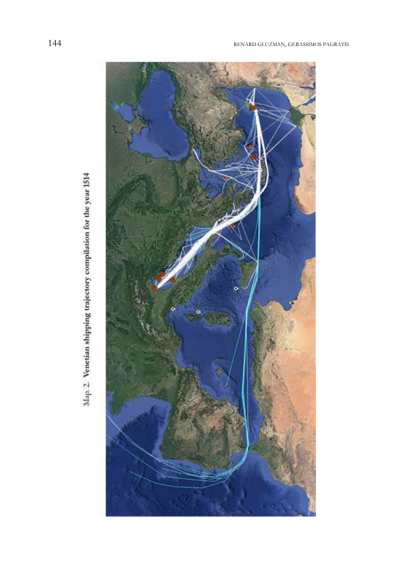

Map. 2. Venetian shipping trajectory compilation for the year 1514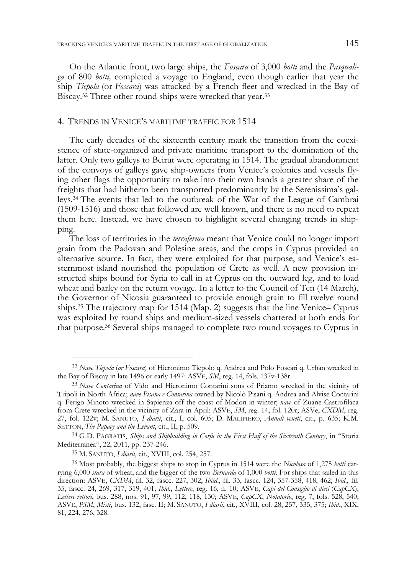On the Atlantic front, two large ships, the *Foscara* of 3,000 *botti* and the *Pasqualiga* of 800 *botti,* completed a voyage to England, even though earlier that year the ship *Tiepola* (or *Foscara*) was attacked by a French fleet and wrecked in the Bay of Biscay.32 Three other round ships were wrecked that year.33

# 4. TRENDS IN VENICE'S MARITIME TRAFFIC FOR 1514

The early decades of the sixteenth century mark the transition from the coexistence of state-organized and private maritime transport to the domination of the latter. Only two galleys to Beirut were operating in 1514. The gradual abandonment of the convoys of galleys gave ship-owners from Venice's colonies and vessels flying other flags the opportunity to take into their own hands a greater share of the freights that had hitherto been transported predominantly by the Serenissima's galleys.34 The events that led to the outbreak of the War of the League of Cambrai (1509-1516) and those that followed are well known, and there is no need to repeat them here. Instead, we have chosen to highlight several changing trends in shipping.

The loss of territories in the *terraferma* meant that Venice could no longer import grain from the Padovan and Polesine areas, and the crops in Cyprus provided an alternative source. In fact, they were exploited for that purpose, and Venice's easternmost island nourished the population of Crete as well. A new provision instructed ships bound for Syria to call in at Cyprus on the outward leg, and to load wheat and barley on the return voyage. In a letter to the Council of Ten (14 March), the Governor of Nicosia guaranteed to provide enough grain to fill twelve round ships.35 The trajectory map for 1514 (Map. 2) suggests that the line Venice– Cyprus was exploited by round ships and medium-sized vessels chartered at both ends for that purpose.36 Several ships managed to complete two round voyages to Cyprus in

<sup>32</sup> *Nave Tiepola* (*or Foscara*) of Hieronimo Tiepolo q. Andrea and Polo Foscari q. Urban wrecked in the Bay of Biscay in late 1496 or early 1497: ASVE, *SM*, reg. 14, fols. 137v-138r.

<sup>33</sup> *Nave Contarina* of Vido and Hieronimo Contarini sons of Priamo wrecked in the vicinity of Tripoli in North Africa; *nave Pisana e Contarina* owned by Nicolò Pisani q. Andrea and Alvise Contarini q. Ferigo Minoto wrecked in Sapienza off the coast of Modon in winter; *nave* of Zuane Castrofilaca from Crete wrecked in the vicinity of Zara in April: ASVE, *SM*, reg. 14, fol. 120r; ASVe, *CXDM*, reg. 27, fol. 122v; M. SANUTO, *I diarii*, cit., I, col. 605; D. MALIPIERO, *Annali veneti*, cit., p. 635; K.M. SETTON, *The Papacy and the Levant*, cit., II, p. 509.

<sup>34</sup> G.D. PAGRATIS, *Ships and Shipbuilding in Corfu in the First Half of the Sixteenth Century*, in "Storia Mediterranea", 22, 2011, pp. 237-246.

<sup>35</sup> M. SANUTO, *I diarii*, cit., XVIII, col. 254, 257.

<sup>36</sup> Most probably, the biggest ships to stop in Cyprus in 1514 were the *Nicolosa* of 1,275 *botti* carrying 6,000 *stara* of wheat, and the bigger of the two *Bernarda* of 1,000 *botti*. For ships that sailed in this direction: ASVE, *CXDM*, fil. 32, fascc. 227, 302; *Ibiid*., fil. 33, fascc. 124, 357-358, 418, 462; *Ibid*., fil. 35, fascc. 24, 269, 317, 319, 401; *Ibid*., *Lettere*, reg. 16, n. 10; ASVE, *Capi del Consiglio di dieci* (*CapCX*), *Lettere rettori*, bus. 288, nos. 91, 97, 99, 112, 118, 130; ASVE, *CapCX*, *Notatorio*, reg. 7, fols. 528, 540; ASVE, *PSM*, *Misti*, bus. 132, fasc. II; M. SANUTO, *I diarii*, cit., XVIII, col. 28, 257, 335, 375; *Ibid.*, XIX, 81, 224, 276, 328.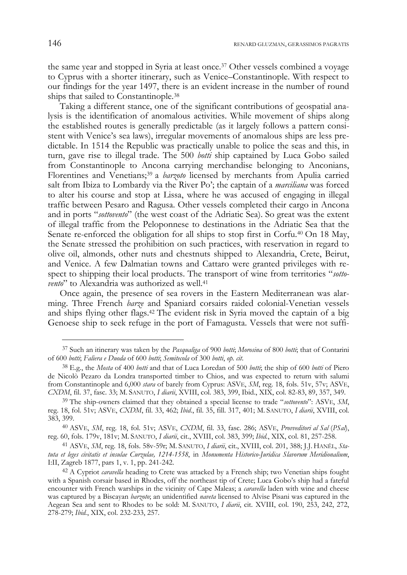the same year and stopped in Syria at least once.37 Other vessels combined a voyage to Cyprus with a shorter itinerary, such as Venice–Constantinople. With respect to our findings for the year 1497, there is an evident increase in the number of round ships that sailed to Constantinople.38

Taking a different stance, one of the significant contributions of geospatial analysis is the identification of anomalous activities. While movement of ships along the established routes is generally predictable (as it largely follows a pattern consistent with Venice's sea laws), irregular movements of anomalous ships are less predictable. In 1514 the Republic was practically unable to police the seas and this, in turn, gave rise to illegal trade. The 500 *botti* ship captained by Luca Gobo sailed from Constantinople to Ancona carrying merchandise belonging to Anconians, Florentines and Venetians;<sup>39</sup> a *barzoto* licensed by merchants from Apulia carried salt from Ibiza to Lombardy via the River Po'; the captain of a *marciliana* was forced to alter his course and stop at Lissa, where he was accused of engaging in illegal traffic between Pesaro and Ragusa. Other vessels completed their cargo in Ancona and in ports "*sottovento*" (the west coast of the Adriatic Sea). So great was the extent of illegal traffic from the Peloponnese to destinations in the Adriatic Sea that the Senate re-enforced the obligation for all ships to stop first in Corfu.<sup>40</sup> On 18 May, the Senate stressed the prohibition on such practices, with reservation in regard to olive oil, almonds, other nuts and chestnuts shipped to Alexandria, Crete, Beirut, and Venice. A few Dalmatian towns and Cattaro were granted privileges with respect to shipping their local products. The transport of wine from territories "*sottovento*" to Alexandria was authorized as well.41

Once again, the presence of sea rovers in the Eastern Mediterranean was alarming. Three French *barze* and Spaniard corsairs raided colonial-Venetian vessels and ships flying other flags.42 The evident risk in Syria moved the captain of a big Genoese ship to seek refuge in the port of Famagusta. Vessels that were not suffi-

40 ASVE, *SM*, reg. 18, fol. 51v; ASVE, *CXDM*, fil. 33, fasc. 286; ASVE, *Provveditori al Sal* (*PSal*), reg. 60, fols. 179v, 181v; M. SANUTO, *I diarii*, cit., XVIII, col. 383, 399; *Ibid.*, XIX, col. 81, 257-258.

41 ASVE, *SM*, reg. 18, fols. 58v-59r; M. SANUTO, *I diarii*, cit., XVIII, col. 201, 388; J.J. HANĔL, *Statuta et leges civitatis et insulae Curzulae, 1214-1558*, in *Monumenta Historico-Juridica Slavorum Meridionalium*, I:II, Zagreb 1877, pars 1, v. 1, pp. 241-242.

<sup>37</sup> Such an itinerary was taken by the *Pasqualiga* of 900 *botti*; *Morosina* of 800 *botti*; that of Contarini

<sup>&</sup>lt;sup>38</sup> E.g., the *Mosta* of 400 *botti* and that of Luca Loredan of 500 *botti*; the ship of 600 *botti* of Piero de Nicolò Pezaro da Londra transported timber to Chios, and was expected to return with salumi from Constantinople and 6,000 *stara* of barely from Cyprus: ASVE, *SM*, reg. 18, fols. 51v, 57v; ASVE, *CXDM*, fil. 37, fasc. 33; M. SANUTO, *I diarii*, XVIII, col. 383, 399, Ibid., XIX, col. 82-83, 89, 357, 349.

<sup>39</sup> The ship-owners claimed that they obtained a special license to trade "*sottovento*": ASVE, *SM*, reg. 18, fol. 51v; ASVE, *CXDM*, fil. 33, 462; *Ibid*., fil. 35, fill. 317, 401; M. SANUTO, *I diarii*, XVIII, col. 383, 399.

<sup>42</sup> A Cypriot *caravella* heading to Crete was attacked by a French ship; two Venetian ships fought with a Spanish corsair based in Rhodes, off the northeast tip of Crete; Luca Gobo's ship had a fateful encounter with French warships in the vicinity of Cape Maleas; a *caravella* laden with wine and cheese was captured by a Biscayan *barzoto*; an unidentified *naveta* licensed to Alvise Pisani was captured in the Aegean Sea and sent to Rhodes to be sold: M. SANUTO, *I diarii*, cit. XVIII, col. 190, 253, 242, 272, 278-279; *Ibid.*, XIX, col. 232-233, 257.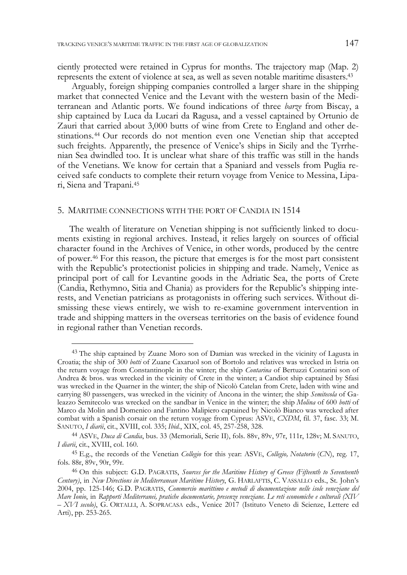ciently protected were retained in Cyprus for months. The trajectory map (Map. 2) represents the extent of violence at sea, as well as seven notable maritime disasters.43

Arguably, foreign shipping companies controlled a larger share in the shipping market that connected Venice and the Levant with the western basin of the Mediterranean and Atlantic ports. We found indications of three *barze* from Biscay, a ship captained by Luca da Lucari da Ragusa, and a vessel captained by Ortunio de Zauri that carried about 3,000 butts of wine from Crete to England and other destinations.44 Our records do not mention even one Venetian ship that accepted such freights. Apparently, the presence of Venice's ships in Sicily and the Tyrrhenian Sea dwindled too. It is unclear what share of this traffic was still in the hands of the Venetians. We know for certain that a Spaniard and vessels from Puglia received safe conducts to complete their return voyage from Venice to Messina, Lipari, Siena and Trapani.45

### 5. MARITIME CONNECTIONS WITH THE PORT OF CANDIA IN 1514

 $\ddot{\phantom{a}}$ 

The wealth of literature on Venetian shipping is not sufficiently linked to documents existing in regional archives. Instead, it relies largely on sources of official character found in the Archives of Venice, in other words, produced by the centre of power.46 For this reason, the picture that emerges is for the most part consistent with the Republic's protectionist policies in shipping and trade. Namely, Venice as principal port of call for Levantine goods in the Adriatic Sea, the ports of Crete (Candia, Rethymno, Sitia and Chania) as providers for the Republic's shipping interests, and Venetian patricians as protagonists in offering such services. Without dismissing these views entirely, we wish to re-examine government intervention in trade and shipping matters in the overseas territories on the basis of evidence found in regional rather than Venetian records.

<sup>43</sup> The ship captained by Zuane Moro son of Damian was wrecked in the vicinity of Lagusta in Croatia; the ship of 300 *botti* of Zuane Caxaruol son of Bortolo and relatives was wrecked in Istria on the return voyage from Constantinople in the winter; the ship *Contarina* of Bertuzzi Contarini son of Andrea & bros. was wrecked in the vicinity of Crete in the winter; a Candiot ship captained by Sfasi was wrecked in the Quarner in the winter; the ship of Nicolò Catelan from Crete, laden with wine and carrying 80 passengers, was wrecked in the vicinity of Ancona in the winter; the ship *Semitecola* of Galeazzo Semitecolo was wrecked on the sandbar in Venice in the winter; the ship *Molina* of 600 *botti* of Marco da Molin and Domenico and Fantino Malipiero captained by Nicolò Bianco was wrecked after combat with a Spanish corsair on the return voyage from Cyprus: ASVE, *CXDM*, fil. 37, fasc. 33; M. SANUTO, *I diarii*, cit., XVIII, col. 335; *Ibid.*, XIX, col. 45, 257-258, 328.

<sup>44</sup> ASVE, *Duca di Candia*, bus. 33 (Memoriali, Serie II), fols. 88v, 89v, 97r, 111r, 128v; M. SANUTO, *I diarii*, cit., XVIII, col. 160.

<sup>45</sup> E.g., the records of the Venetian *Collegio* for this year: ASVE, *Collegio, Notatorio* (*CN*), reg. 17, fols. 88r, 89v, 90r, 99r.

<sup>46</sup> On this subject: G.D. PAGRATIS, *Sources for the Maritime History of Greece (Fifteenth to Seventeenth Century)*, in *New Directions in Mediterranean Maritime History*, G. HARLAFTIS, C. VASSALLO eds., St. John's 2004, pp. 125-146; G.D. PAGRATIS, *Commercio marittimo e metodi di documentazione nelle isole veneziane del Mare Ionio*, in *Rapporti Mediterranei, pratiche documentarie, presenze veneziane. Le reti economiche e culturali (XIV – XVI secolo)*, G. ORTALLI, A. SOPRACASA eds., Venice 2017 (Istituto Veneto di Scienze, Lettere ed Arti), pp. 253-265.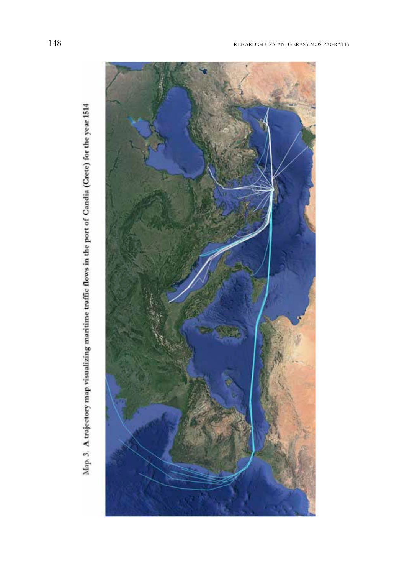

Map. 3. A trajectory map visualizing maritime traffic flows in the port of Candia (Crete) for the year 1514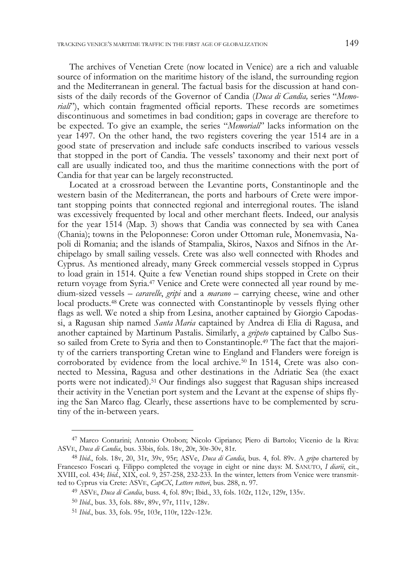The archives of Venetian Crete (now located in Venice) are a rich and valuable source of information on the maritime history of the island, the surrounding region and the Mediterranean in general. The factual basis for the discussion at hand consists of the daily records of the Governor of Candia (*Duca di Candia,* series "*Memoriali*"), which contain fragmented official reports. These records are sometimes discontinuous and sometimes in bad condition; gaps in coverage are therefore to be expected. To give an example, the series "*Memoriali*" lacks information on the year 1497. On the other hand, the two registers covering the year 1514 are in a good state of preservation and include safe conducts inscribed to various vessels that stopped in the port of Candia. The vessels' taxonomy and their next port of call are usually indicated too, and thus the maritime connections with the port of Candia for that year can be largely reconstructed.

Located at a crossroad between the Levantine ports, Constantinople and the western basin of the Mediterranean, the ports and harbours of Crete were important stopping points that connected regional and interregional routes. The island was excessively frequented by local and other merchant fleets. Indeed, our analysis for the year 1514 (Map. 3) shows that Candia was connected by sea with Canea (Chania); towns in the Peloponnese: Coron under Ottoman rule, Monemvasia, Napoli di Romania; and the islands of Stampalia, Skiros, Naxos and Sifnos in the Archipelago by small sailing vessels. Crete was also well connected with Rhodes and Cyprus. As mentioned already, many Greek commercial vessels stopped in Cyprus to load grain in 1514. Quite a few Venetian round ships stopped in Crete on their return voyage from Syria.47 Venice and Crete were connected all year round by medium-sized vessels – *caravelle*, *gripi* and a *marano* – carrying cheese, wine and other local products.48 Crete was connected with Constantinople by vessels flying other flags as well. We noted a ship from Lesina, another captained by Giorgio Capodassi, a Ragusan ship named *Santa Maria* captained by Andrea di Elia di Ragusa, and another captained by Martinum Pastalis. Similarly, a *gripeto* captained by Calbo Susso sailed from Crete to Syria and then to Constantinople.49 The fact that the majority of the carriers transporting Cretan wine to England and Flanders were foreign is corroborated by evidence from the local archive.50 In 1514, Crete was also connected to Messina, Ragusa and other destinations in the Adriatic Sea (the exact ports were not indicated).51 Our findings also suggest that Ragusan ships increased their activity in the Venetian port system and the Levant at the expense of ships flying the San Marco flag. Clearly, these assertions have to be complemented by scrutiny of the in-between years.

 $\overline{a}$ 

<sup>47</sup> Marco Contarini; Antonio Otobon; Nicolo Cipriano; Piero di Bartolo; Vicenio de la Riva: ASVE, *Duca di Candia*, bus. 33bis, fols. 18v, 20r, 30r-30v, 81r.

<sup>48</sup> *Ibid*., fols. 18v, 20, 31r, 39v, 95r; ASVe, *Duca di Candia*, bus. 4, fol. 89v. A *gripo* chartered by Francesco Foscari q. Filippo completed the voyage in eight or nine days: M. SANUTO, *I diarii*, cit., XVIII, col. 434; *Ibid.*, XIX, col. 9, 257-258, 232-233. In the winter, letters from Venice were transmitted to Cyprus via Crete: ASVE, *CapCX*, *Lettere rettori*, bus. 288, n. 97.

<sup>49</sup> ASVE, *Duca di Candia*, buss. 4, fol. 89v; Ibid., 33, fols. 102r, 112v, 129r, 135v.

<sup>50</sup> *Ibid*., bus. 33, fols. 88v, 89v, 97r, 111v, 128v.

<sup>51</sup> *Ibid*., bus. 33, fols. 95r, 103r, 110r, 122v-123r.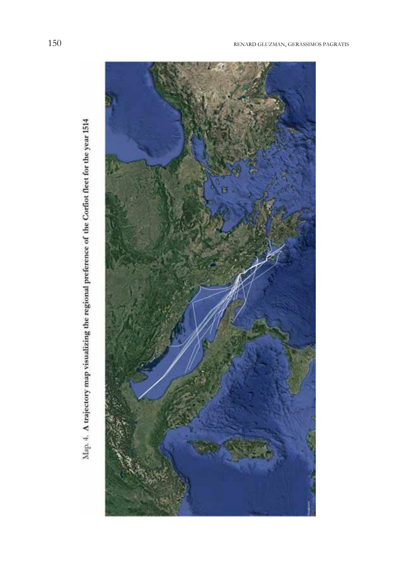

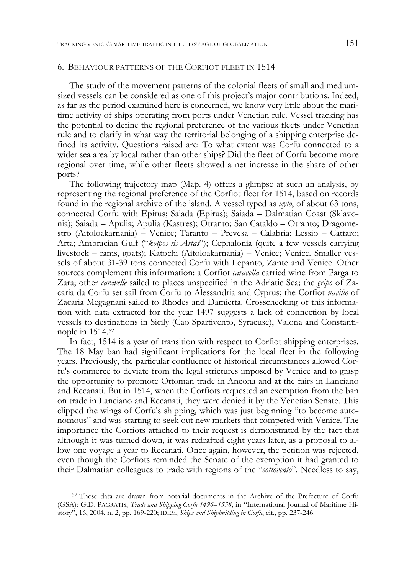## 6. BEHAVIOUR PATTERNS OF THE CORFIOT FLEET IN 1514

The study of the movement patterns of the colonial fleets of small and mediumsized vessels can be considered as one of this project's major contributions. Indeed, as far as the period examined here is concerned, we know very little about the maritime activity of ships operating from ports under Venetian rule. Vessel tracking has the potential to define the regional preference of the various fleets under Venetian rule and to clarify in what way the territorial belonging of a shipping enterprise defined its activity. Questions raised are: To what extent was Corfu connected to a wider sea area by local rather than other ships? Did the fleet of Corfu become more regional over time, while other fleets showed a net increase in the share of other ports?

The following trajectory map (Map. 4) offers a glimpse at such an analysis, by representing the regional preference of the Corfiot fleet for 1514, based on records found in the regional archive of the island. A vessel typed as *xylo*, of about 63 tons, connected Corfu with Epirus; Saiada (Epirus); Saiada – Dalmatian Coast (Sklavonia); Saiada – Apulia; Apulia (Kastres); Otranto; San Cataldo – Otranto; Dragomestro (Aitoloakarnania) – Venice; Taranto – Prevesa – Calabria; Lessio – Cattaro; Arta; Ambracian Gulf ("*kolpos tis Artas*"); Cephalonia (quite a few vessels carrying livestock – rams, goats); Katochi (Aitoloakarnania) – Venice; Venice. Smaller vessels of about 31-39 tons connected Corfu with Lepanto, Zante and Venice. Other sources complement this information: a Corfiot *caravella* carried wine from Parga to Zara; other *caravelle* sailed to places unspecified in the Adriatic Sea; the *gripo* of Zacaria da Corfu set sail from Corfu to Alessandria and Cyprus; the Corfiot *navilio* of Zacaria Megagnani sailed to Rhodes and Damietta. Crosschecking of this information with data extracted for the year 1497 suggests a lack of connection by local vessels to destinations in Sicily (Cao Spartivento, Syracuse), Valona and Constantinople in 1514.52

In fact, 1514 is a year of transition with respect to Corfiot shipping enterprises. The 18 May ban had significant implications for the local fleet in the following years. Previously, the particular confluence of historical circumstances allowed Corfu's commerce to deviate from the legal strictures imposed by Venice and to grasp the opportunity to promote Ottoman trade in Ancona and at the fairs in Lanciano and Recanati. But in 1514, when the Corfiots requested an exemption from the ban on trade in Lanciano and Recanati, they were denied it by the Venetian Senate. This clipped the wings of Corfu's shipping, which was just beginning "to become autonomous" and was starting to seek out new markets that competed with Venice. The importance the Corfiots attached to their request is demonstrated by the fact that although it was turned down, it was redrafted eight years later, as a proposal to allow one voyage a year to Recanati. Once again, however, the petition was rejected, even though the Corfiots reminded the Senate of the exemption it had granted to their Dalmatian colleagues to trade with regions of the "*sottovento*". Needless to say,

<sup>&</sup>lt;sup>52</sup> These data are drawn from notarial documents in the Archive of the Prefecture of Corfu (GSA): G.D. PAGRATIS, *Trade and Shipping Corfu 1496–1538*, in "International Journal of Maritime History", 16, 2004, n. 2, pp. 169-220; IDEM, *Ships and Shipbuilding in Corfu*, cit., pp. 237-246.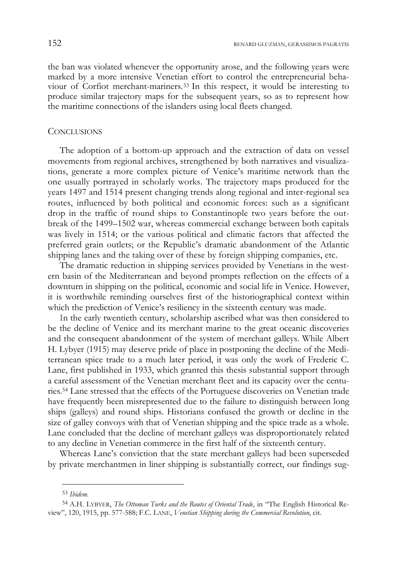the ban was violated whenever the opportunity arose, and the following years were marked by a more intensive Venetian effort to control the entrepreneurial behaviour of Corfiot merchant-mariners.53 In this respect, it would be interesting to produce similar trajectory maps for the subsequent years, so as to represent how the maritime connections of the islanders using local fleets changed.

## **CONCLUSIONS**

The adoption of a bottom-up approach and the extraction of data on vessel movements from regional archives, strengthened by both narratives and visualizations, generate a more complex picture of Venice's maritime network than the one usually portrayed in scholarly works. The trajectory maps produced for the years 1497 and 1514 present changing trends along regional and inter-regional sea routes, influenced by both political and economic forces: such as a significant drop in the traffic of round ships to Constantinople two years before the outbreak of the 1499–1502 war, whereas commercial exchange between both capitals was lively in 1514; or the various political and climatic factors that affected the preferred grain outlets; or the Republic's dramatic abandonment of the Atlantic shipping lanes and the taking over of these by foreign shipping companies, etc.

The dramatic reduction in shipping services provided by Venetians in the western basin of the Mediterranean and beyond prompts reflection on the effects of a downturn in shipping on the political, economic and social life in Venice. However, it is worthwhile reminding ourselves first of the historiographical context within which the prediction of Venice's resiliency in the sixteenth century was made.

In the early twentieth century, scholarship ascribed what was then considered to be the decline of Venice and its merchant marine to the great oceanic discoveries and the consequent abandonment of the system of merchant galleys. While Albert H. Lybyer (1915) may deserve pride of place in postponing the decline of the Mediterranean spice trade to a much later period, it was only the work of Frederic C. Lane, first published in 1933, which granted this thesis substantial support through a careful assessment of the Venetian merchant fleet and its capacity over the centuries.54 Lane stressed that the effects of the Portuguese discoveries on Venetian trade have frequently been misrepresented due to the failure to distinguish between long ships (galleys) and round ships. Historians confused the growth or decline in the size of galley convoys with that of Venetian shipping and the spice trade as a whole. Lane concluded that the decline of merchant galleys was disproportionately related to any decline in Venetian commerce in the first half of the sixteenth century.

Whereas Lane's conviction that the state merchant galleys had been superseded by private merchantmen in liner shipping is substantially correct, our findings sug-

<sup>53</sup> *Ibidem*.

<sup>54</sup> A.H. LYBYER, *The Ottoman Turks and the Routes of Oriental Trade*, in "The English Historical Review", 120, 1915, pp. 577-588; F.C. LANE, *Venetian Shipping during the Commercial Revolution*, cit.